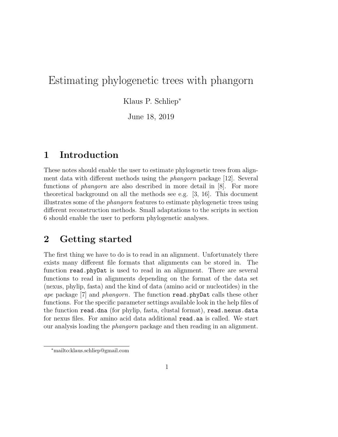# Estimating phylogenetic trees with phangorn

Klaus P. Schliep<sup>∗</sup>

June 18, 2019

### 1 Introduction

These notes should enable the user to estimate phylogenetic trees from alignment data with different methods using the phangorn package [12]. Several functions of phangorn are also described in more detail in [8]. For more theoretical background on all the methods see e.g. [3, 16]. This document illustrates some of the phangorn features to estimate phylogenetic trees using different reconstruction methods. Small adaptations to the scripts in section 6 should enable the user to perform phylogenetic analyses.

## 2 Getting started

The first thing we have to do is to read in an alignment. Unfortunately there exists many different file formats that alignments can be stored in. The function read.phyDat is used to read in an alignment. There are several functions to read in alignments depending on the format of the data set (nexus, phylip, fasta) and the kind of data (amino acid or nucleotides) in the ape package [7] and phangorn. The function read.phyDat calls these other functions. For the specific parameter settings available look in the help files of the function read.dna (for phylip, fasta, clustal format), read.nexus.data for nexus files. For amino acid data additional read.aa is called. We start our analysis loading the phangorn package and then reading in an alignment.

<sup>∗</sup>mailto:klaus.schliep@gmail.com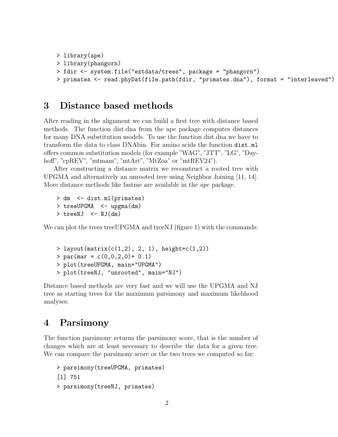```
> library(ape)
```

```
> library(phangorn)
```

```
> fdir <- system.file("extdata/trees", package = "phangorn")
```

```
> primates <- read.phyDat(file.path(fdir, "primates.dna"), format = "interleaved")
```
#### 3 Distance based methods

After reading in the alignment we can build a first tree with distance based methods. The function dist.dna from the ape package computes distances for many DNA substitution models. To use the function dist.dna we have to transform the data to class DNAbin. For amino acids the function dist.ml offers common substitution models (for example "WAG", "JTT", "LG", "Dayhoff", "cpREV", "mtmam", "mtArt", "MtZoa" or "mtREV24").

After constructing a distance matrix we reconstruct a rooted tree with UPGMA and alternatively an unrooted tree using Neighbor Joining [11, 14]. More distance methods like fastme are available in the *ape* package.

```
> dm <- dist.ml(primates)
> treeUPGMA <- upgma(dm)
> treeNJ <- NJ(dm)
```
We can plot the trees treeUPGMA and treeNJ (figure 1) with the commands:

```
> layout(matrix(c(1,2), 2, 1), height=c(1,2))
> par(max = c(0,0,2,0) + 0.1)> plot(treeUPGMA, main="UPGMA")
> plot(treeNJ, "unrooted", main="NJ")
```
Distance based methods are very fast and we will use the UPGMA and NJ tree as starting trees for the maximum parsimony and maximum likelihood analyses.

### 4 Parsimony

The function parsimony returns the parsimony score, that is the number of changes which are at least necessary to describe the data for a given tree. We can compare the parsimony score or the two trees we computed so far:

```
> parsimony(treeUPGMA, primates)
[1] 751
> parsimony(treeNJ, primates)
```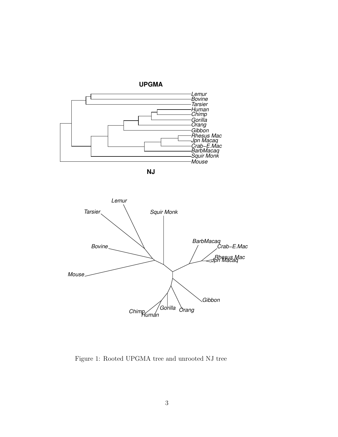

**NJ**



Figure 1: Rooted UPGMA tree and unrooted NJ tree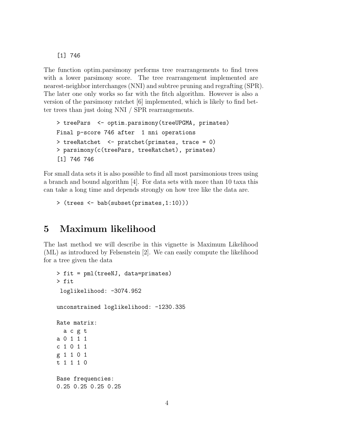#### [1] 746

The function optim.parsimony performs tree rearrangements to find trees with a lower parsimony score. The tree rearrangement implemented are nearest-neighbor interchanges (NNI) and subtree pruning and regrafting (SPR). The later one only works so far with the fitch algorithm. However is also a version of the parsimony ratchet [6] implemented, which is likely to find better trees than just doing NNI / SPR rearrangements.

```
> treePars <- optim.parsimony(treeUPGMA, primates)
Final p-score 746 after 1 nni operations
> treeRatchet <- pratchet(primates, trace = 0)
> parsimony(c(treePars, treeRatchet), primates)
[1] 746 746
```
For small data sets it is also possible to find all most parsimonious trees using a branch and bound algorithm [4]. For data sets with more than 10 taxa this can take a long time and depends strongly on how tree like the data are.

```
> (trees <- bab(subset(primates,1:10)))
```
### 5 Maximum likelihood

The last method we will describe in this vignette is Maximum Likelihood (ML) as introduced by Felsenstein [2]. We can easily compute the likelihood for a tree given the data

```
> fit = pml(treeNJ, data=primates)
> fit
 loglikelihood: -3074.952
unconstrained loglikelihood: -1230.335
Rate matrix:
 a c g t
a 0 1 1 1
c 1 0 1 1
g 1 1 0 1
t 1 1 1 0
Base frequencies:
0.25 0.25 0.25 0.25
```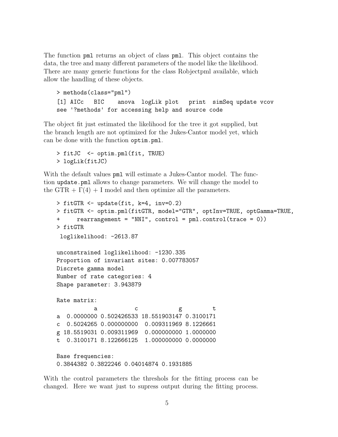The function pml returns an object of class pml. This object contains the data, the tree and many different parameters of the model like the likelihood. There are many generic functions for the class Robjectpml available, which allow the handling of these objects.

```
> methods(class="pml")
[1] AICc BIC anova logLik plot print simSeq update vcov
see '?methods' for accessing help and source code
```
The object fit just estimated the likelihood for the tree it got supplied, but the branch length are not optimized for the Jukes-Cantor model yet, which can be done with the function optim.pml.

```
> fitJC <- optim.pml(fit, TRUE)
> logLik(fitJC)
```
With the default values pml will estimate a Jukes-Cantor model. The function update.pml allows to change parameters. We will change the model to the GTR +  $\Gamma(4)$  + I model and then optimize all the parameters.

```
> fitGTR <- update(fit, k=4, inv=0.2)
> fitGTR <- optim.pml(fitGTR, model="GTR", optInv=TRUE, optGamma=TRUE,
+ rearrangement = "NNI", control = pml.control(trace = 0))
> fitGTR
loglikelihood: -2613.87
unconstrained loglikelihood: -1230.335
Proportion of invariant sites: 0.007783057
Discrete gamma model
Number of rate categories: 4
Shape parameter: 3.943879
Rate matrix:
          a c g t
a 0.0000000 0.502426533 18.551903147 0.3100171
c 0.5024265 0.000000000 0.009311969 8.1226661
g 18.5519031 0.009311969 0.000000000 1.0000000
t 0.3100171 8.122666125 1.000000000 0.0000000
Base frequencies:
0.3844382 0.3822246 0.04014874 0.1931885
```
With the control parameters the threshols for the fitting process can be changed. Here we want just to supress output during the fitting process.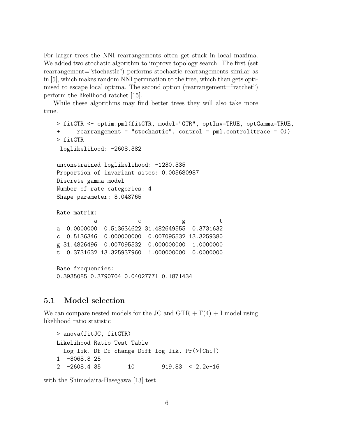For larger trees the NNI rearrangements often get stuck in local maxima. We added two stochatic algorithm to improve topology search. The first (set rearrangement="stochastic") performs stochastic rearrangements similar as in [5], which makes random NNI permuation to the tree, which than gets optimised to escape local optima. The second option (rearrangement="ratchet") perform the likelihood ratchet [15].

While these algorithms may find better trees they will also take more time.

```
> fitGTR <- optim.pml(fitGTR, model="GTR", optInv=TRUE, optGamma=TRUE,
     rearrangement = "stochastic", control = pm1.contrib(true = 0)> fitGTR
loglikelihood: -2608.382
unconstrained loglikelihood: -1230.335
Proportion of invariant sites: 0.005680987
Discrete gamma model
Number of rate categories: 4
Shape parameter: 3.048765
Rate matrix:
          a c g t
a 0.0000000 0.513634622 31.482649555 0.3731632
c 0.5136346 0.000000000 0.007095532 13.3259380
g 31.4826496 0.007095532 0.000000000 1.0000000
t 0.3731632 13.325937960 1.000000000 0.0000000
Base frequencies:
0.3935085 0.3790704 0.04027771 0.1871434
```
#### 5.1 Model selection

We can compare nested models for the JC and  $GTR + \Gamma(4) + I$  model using likelihood ratio statistic

```
> anova(fitJC, fitGTR)
Likelihood Ratio Test Table
 Log lik. Df Df change Diff log lik. Pr(>|Chi|)
1 -3068.3 25
2 -2608.4 35 10 919.83 < 2.2e-16
```
with the Shimodaira-Hasegawa [13] test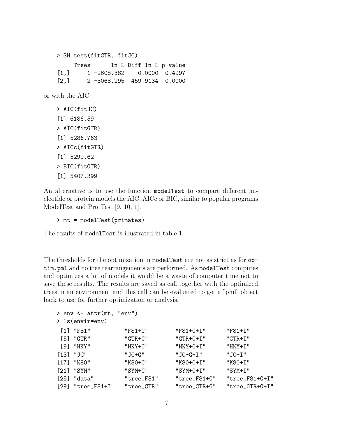```
> SH.test(fitGTR, fitJC)
        Trees ln L Diff ln L p-value
   [1,] 1 -2608.382 0.0000 0.4997
   [2,] 2 -3068.295 459.9134 0.0000
or with the AIC
   > AIC(fitJC)
   [1] 6186.59
   > AIC(fitGTR)
   [1] 5286.763
   > AICc(fitGTR)
   [1] 5299.62
   > BIC(fitGTR)
   [1] 5407.399
```
An alternative is to use the function modelTest to compare different nucleotide or protein models the AIC, AICc or BIC, similar to popular programs ModelTest and ProtTest [9, 10, 1].

> mt = modelTest(primates)

The results of modelTest is illustrated in table 1

The thresholds for the optimization in modelTest are not as strict as for optim.pml and no tree rearrangements are performed. As modelTest computes and optimizes a lot of models it would be a waste of computer time not to save these results. The results are saved as call together with the optimized trees in an environment and this call can be evaluated to get a "pml" object back to use for further optimization or analysis.

| $>$ env $\leq$ attr(mt, "env") |            |              |                  |
|--------------------------------|------------|--------------|------------------|
| > ls(envir=env)                |            |              |                  |
| $[1]$ "F81"                    | "F81+G"    | "F81+G+I"    | $"F81+I"$        |
| $[5]$ "GTR"                    | $"GTR+G"$  | $"GTR+G+I"$  | $"GTR+I"$        |
| $[9]$ "HKY"                    | "HKY+G"    | "HKY+G+I"    | $"HKY+I"$        |
| $[13]$ "JC"                    | "JC+G"     | $"JC+G+I"$   | $"JC+I"$         |
| $[17]$ "K80"                   | "K80+G"    | "K80+G+I"    | "K80+I"          |
| $[21]$ "SYM"                   | "SYM+G"    | $"SYM+G+I"$  | "SYM+I"          |
| $[25]$ "data"                  | "tree_F81" | "tree_F81+G" | $"tree_F81+G+I"$ |
| $[29]$ "tree_F81+I"            | "tree_GTR" | "tree_GTR+G" | "tree_GTR+G+I"   |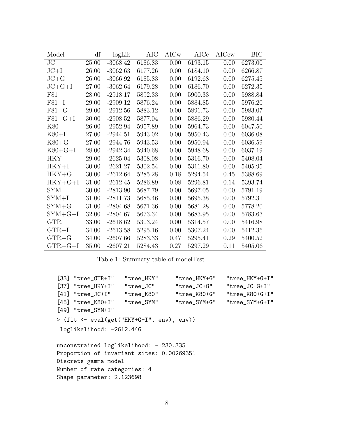| Model         | df    | logLi <sub>k</sub> | <b>AIC</b> | AICw | AICc    | AICcw | <b>BIC</b> |
|---------------|-------|--------------------|------------|------|---------|-------|------------|
| $\rm JC$      | 25.00 | $-3068.42$         | 6186.83    | 0.00 | 6193.15 | 0.00  | 6273.00    |
| $JC+I$        | 26.00 | $-3062.63$         | 6177.26    | 0.00 | 6184.10 | 0.00  | 6266.87    |
| $JC + G$      | 26.00 | $-3066.92$         | 6185.83    | 0.00 | 6192.68 | 0.00  | 6275.45    |
| $JC+G+I$      | 27.00 | $-3062.64$         | 6179.28    | 0.00 | 6186.70 | 0.00  | 6272.35    |
| F81           | 28.00 | $-2918.17$         | 5892.33    | 0.00 | 5900.33 | 0.00  | 5988.84    |
| $F81+I$       | 29.00 | $-2909.12$         | 5876.24    | 0.00 | 5884.85 | 0.00  | 5976.20    |
| $F81 + G$     | 29.00 | $-2912.56$         | 5883.12    | 0.00 | 5891.73 | 0.00  | 5983.07    |
| $F81+G+I$     | 30.00 | $-2908.52$         | 5877.04    | 0.00 | 5886.29 | 0.00  | 5980.44    |
| K80           | 26.00 | $-2952.94$         | 5957.89    | 0.00 | 5964.73 | 0.00  | 6047.50    |
| $K80+I$       | 27.00 | $-2944.51$         | 5943.02    | 0.00 | 5950.43 | 0.00  | 6036.08    |
| $K80 + G$     | 27.00 | $-2944.76$         | 5943.53    | 0.00 | 5950.94 | 0.00  | 6036.59    |
| $K80+G+I$     | 28.00 | $-2942.34$         | 5940.68    | 0.00 | 5948.68 | 0.00  | 6037.19    |
| <b>HKY</b>    | 29.00 | $-2625.04$         | 5308.08    | 0.00 | 5316.70 | 0.00  | 5408.04    |
| $HKY+I$       | 30.00 | $-2621.27$         | 5302.54    | 0.00 | 5311.80 | 0.00  | 5405.95    |
| $HKY + G$     | 30.00 | $-2612.64$         | 5285.28    | 0.18 | 5294.54 | 0.45  | 5388.69    |
| $HKY + G + I$ | 31.00 | $-2612.45$         | 5286.89    | 0.08 | 5296.81 | 0.14  | 5393.74    |
| SYM           | 30.00 | $-2813.90$         | 5687.79    | 0.00 | 5697.05 | 0.00  | 5791.19    |
| $SYM+I$       | 31.00 | $-2811.73$         | 5685.46    | 0.00 | 5695.38 | 0.00  | 5792.31    |
| $SYM+G$       | 31.00 | $-2804.68$         | 5671.36    | 0.00 | 5681.28 | 0.00  | 5778.20    |
| $SYM+G+I$     | 32.00 | $-2804.67$         | 5673.34    | 0.00 | 5683.95 | 0.00  | 5783.63    |
| <b>GTR</b>    | 33.00 | $-2618.62$         | 5303.24    | 0.00 | 5314.57 | 0.00  | 5416.98    |
| $GTR+I$       | 34.00 | $-2613.58$         | 5295.16    | 0.00 | 5307.24 | 0.00  | 5412.35    |
| $GTR + G$     | 34.00 | $-2607.66$         | 5283.33    | 0.47 | 5295.41 | 0.29  | 5400.52    |
| $GTR + G + I$ | 35.00 | $-2607.21$         | 5284.43    | 0.27 | 5297.29 | 0.11  | 5405.06    |

Table 1: Summary table of modelTest

|                                           | $[33]$ "tree $GTR+I"$         | "tree_HKY" | "tree_HKY+G" | "tree_HKY+G+I" |  |  |  |
|-------------------------------------------|-------------------------------|------------|--------------|----------------|--|--|--|
|                                           | [37] "tree_HKY+I"             | "tree_JC"  | "tree_JC+G"  | "tree_JC+G+I"  |  |  |  |
|                                           | $[41]$ "tree_JC+I" "tree_K80" |            | "tree_K80+G" | "tree_K80+G+I" |  |  |  |
|                                           | [45] "tree_K80+I" "tree_SYM"  |            | "tree_SYM+G" | "tree_SYM+G+I" |  |  |  |
|                                           | $[49]$ "tree_SYM+I"           |            |              |                |  |  |  |
| > (fit <- eval(get("HKY+G+I", env), env)) |                               |            |              |                |  |  |  |
| loglikelihood: -2612.446                  |                               |            |              |                |  |  |  |
| unconstrained loglikelihood: -1230.335    |                               |            |              |                |  |  |  |
| Proportion of invariant sites: 0.00269351 |                               |            |              |                |  |  |  |
| Discrete gamma model                      |                               |            |              |                |  |  |  |
| Number of rate categories: 4              |                               |            |              |                |  |  |  |
| Shape parameter: 2.123698                 |                               |            |              |                |  |  |  |
|                                           |                               |            |              |                |  |  |  |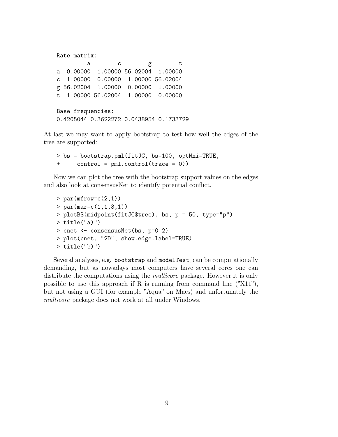```
Rate matrix:
        a c g t
a 0.00000 1.00000 56.02004 1.00000
c 1.00000 0.00000 1.00000 56.02004
g 56.02004 1.00000 0.00000 1.00000
t 1.00000 56.02004 1.00000 0.00000
Base frequencies:
0.4205044 0.3622272 0.0438954 0.1733729
```
At last we may want to apply bootstrap to test how well the edges of the tree are supported:

```
> bs = bootstrap.pml(fitJC, bs=100, optNni=TRUE,
+ control = pml.control(trace = 0))
```
Now we can plot the tree with the bootstrap support values on the edges and also look at consensusNet to identify potential conflict.

```
> par(mfrow=c(2,1))> par(max=c(1,1,3,1))> plotBS(midpoint(fitJC$tree), bs, p = 50, type="p")
> title("a)")
> cnet <- consensusNet(bs, p=0.2)
> plot(cnet, "2D", show.edge.label=TRUE)
> title("b)")
```
Several analyses, e.g. bootstrap and modelTest, can be computationally demanding, but as nowadays most computers have several cores one can distribute the computations using the *multicore* package. However it is only possible to use this approach if R is running from command line  $(\text{``}X11\text{''})$ , but not using a GUI (for example "Aqua" on Macs) and unfortunately the multicore package does not work at all under Windows.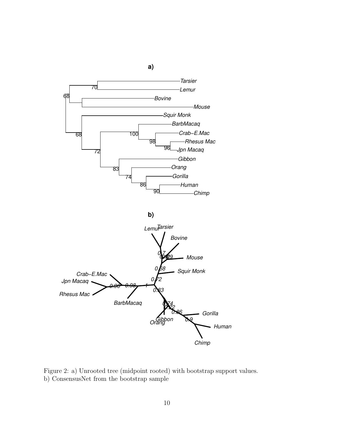

Figure 2: a) Unrooted tree (midpoint rooted) with bootstrap support values. b) ConsensusNet from the bootstrap sample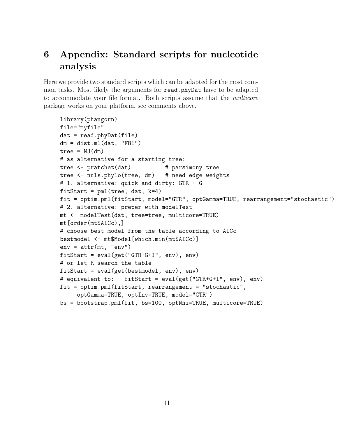# 6 Appendix: Standard scripts for nucleotide analysis

Here we provide two standard scripts which can be adapted for the most common tasks. Most likely the arguments for read.phyDat have to be adapted to accommodate your file format. Both scripts assume that the multicore package works on your platform, see comments above.

```
library(phangorn)
file="myfile"
dat = read.phyDat(file)
dm = dist.m1(data, "F81")tree = NJ(dm)# as alternative for a starting tree:
tree <- pratchet(dat) # parsimony tree
tree <- nnls.phylo(tree, dm) # need edge weights
# 1. alternative: quick and dirty: GTR + G
fittStart = pml(tree, dat, k=4)fit = optim.pml(fitStart, model="GTR", optGamma=TRUE, rearrangement="stochastic")
# 2. alternative: preper with modelTest
mt <- modelTest(dat, tree=tree, multicore=TRUE)
mt[order(mt$AICc),]
# choose best model from the table according to AICc
bestmodel <- mt$Model[which.min(mt$AICc)]
env = attr(mt, "env")fitStart = eval(get("GTR+G+I", env), env)
# or let R search the table
fitStart = eval(get(bestmodel, env), env)
# equivalent to: fitStart = eval(get("GTR+G+I", env), env)
fit = optim.pml(fitStart, rearrangement = "stochastic",
     optGamma=TRUE, optInv=TRUE, model="GTR")
bs = bootstrap.pml(fit, bs=100, optNni=TRUE, multicore=TRUE)
```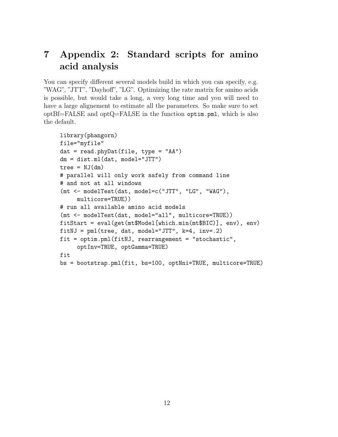# 7 Appendix 2: Standard scripts for amino acid analysis

You can specify different several models build in which you can specify, e.g. "WAG", "JTT", "Dayhoff", "LG". Optimizing the rate matrix for amino acids is possible, but would take a long, a very long time and you will need to have a large alignement to estimate all the parameters. So make sure to set  $optBf=FALSE$  and  $optQ=FALSE$  in the function  $optim.pml$ , which is also the default.

```
library(phangorn)
file="myfile"
dat = read.phyDat(file, type = "AA")
dm = dist.ml(dat, model="JTT")
tree = NJ(dm)# parallel will only work safely from command line
# and not at all windows
(mt <- modelTest(dat, model=c("JTT", "LG", "WAG"),
    multicore=TRUE))
# run all available amino acid models
(mt <- modelTest(dat, model="all", multicore=TRUE))
fitStart = eval(get(mt$Model[which.min(mt$BIC)], env), env)
fitNJ = pml(tree, dat, model="JTT", k=4, inv=.2)fit = optim.pml(fitNJ, rearrangement = "stochastic",
     optInv=TRUE, optGamma=TRUE)
fit
bs = bootstrap.pml(fit, bs=100, optNni=TRUE, multicore=TRUE)
```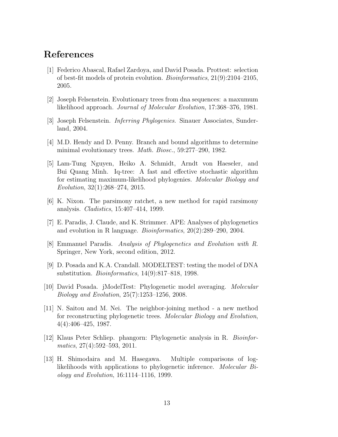### References

- [1] Federico Abascal, Rafael Zardoya, and David Posada. Prottest: selection of best-fit models of protein evolution. Bioinformatics, 21(9):2104–2105, 2005.
- [2] Joseph Felsenstein. Evolutionary trees from dna sequences: a maxumum likelihood approach. Journal of Molecular Evolution, 17:368–376, 1981.
- [3] Joseph Felsenstein. Inferring Phylogenies. Sinauer Associates, Sunderland, 2004.
- [4] M.D. Hendy and D. Penny. Branch and bound algorithms to determine minimal evolutionary trees. Math. Biosc., 59:277–290, 1982.
- [5] Lam-Tung Nguyen, Heiko A. Schmidt, Arndt von Haeseler, and Bui Quang Minh. Iq-tree: A fast and effective stochastic algorithm for estimating maximum-likelihood phylogenies. Molecular Biology and Evolution, 32(1):268–274, 2015.
- [6] K. Nixon. The parsimony ratchet, a new method for rapid rarsimony analysis. Cladistics, 15:407–414, 1999.
- [7] E. Paradis, J. Claude, and K. Strimmer. APE: Analyses of phylogenetics and evolution in R language. Bioinformatics, 20(2):289–290, 2004.
- [8] Emmanuel Paradis. Analysis of Phylogenetics and Evolution with R. Springer, New York, second edition, 2012.
- [9] D. Posada and K.A. Crandall. MODELTEST: testing the model of DNA substitution. Bioinformatics, 14(9):817–818, 1998.
- [10] David Posada. jModelTest: Phylogenetic model averaging. Molecular Biology and Evolution, 25(7):1253–1256, 2008.
- [11] N. Saitou and M. Nei. The neighbor-joining method a new method for reconstructing phylogenetic trees. Molecular Biology and Evolution, 4(4):406–425, 1987.
- [12] Klaus Peter Schliep. phangorn: Phylogenetic analysis in R. Bioinformatics, 27(4):592–593, 2011.
- [13] H. Shimodaira and M. Hasegawa. Multiple comparisons of loglikelihoods with applications to phylogenetic inference. Molecular Biology and Evolution, 16:1114–1116, 1999.